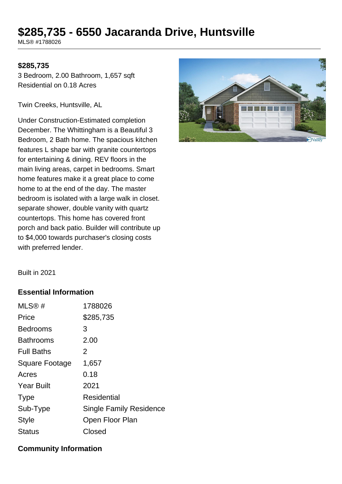# **\$285,735 - 6550 Jacaranda Drive, Huntsville**

MLS® #1788026

#### **\$285,735**

3 Bedroom, 2.00 Bathroom, 1,657 sqft Residential on 0.18 Acres

Twin Creeks, Huntsville, AL

Under Construction-Estimated completion December. The Whittingham is a Beautiful 3 Bedroom, 2 Bath home. The spacious kitchen features L shape bar with granite countertops for entertaining & dining. REV floors in the main living areas, carpet in bedrooms. Smart home features make it a great place to come home to at the end of the day. The master bedroom is isolated with a large walk in closet. separate shower, double vanity with quartz countertops. This home has covered front porch and back patio. Builder will contribute up to \$4,000 towards purchaser's closing costs with preferred lender.



Built in 2021

#### **Essential Information**

| MLS®#                 | 1788026                 |
|-----------------------|-------------------------|
| Price                 | \$285,735               |
| <b>Bedrooms</b>       | 3                       |
| <b>Bathrooms</b>      | 2.00                    |
| <b>Full Baths</b>     | 2                       |
| <b>Square Footage</b> | 1,657                   |
| Acres                 | 0.18                    |
| <b>Year Built</b>     | 2021                    |
| <b>Type</b>           | <b>Residential</b>      |
| Sub-Type              | Single Family Residence |
| <b>Style</b>          | Open Floor Plan         |
| <b>Status</b>         | Closed                  |
|                       |                         |

#### **Community Information**